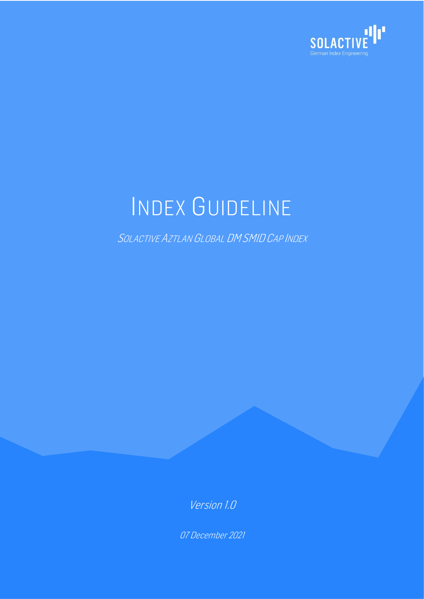

# INDEX GUIDELINE

SOLACTIVE AZTLAN GLOBAL DMSMID CAP INDEX

Version 1.0

07 December 2021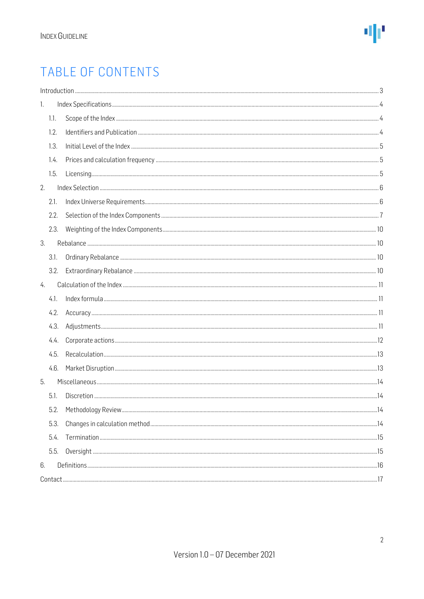### TABLE OF CONTENTS

| 1.   |  |
|------|--|
| 1.1. |  |
| 1.2. |  |
| 1.3. |  |
| 1.4. |  |
| 1.5. |  |
| 2.   |  |
| 2.1. |  |
| 2.2. |  |
| 2.3. |  |
| 3.   |  |
| 3.1. |  |
| 3.2. |  |
| 4.   |  |
| 4.1. |  |
| 4.2. |  |
| 4.3. |  |
| 4.4. |  |
| 4.5. |  |
| 4.6. |  |
| 5.   |  |
| 5.1. |  |
| 5.2. |  |
| 5.3. |  |
| 5.4. |  |
| 5.5. |  |
| 6.   |  |
|      |  |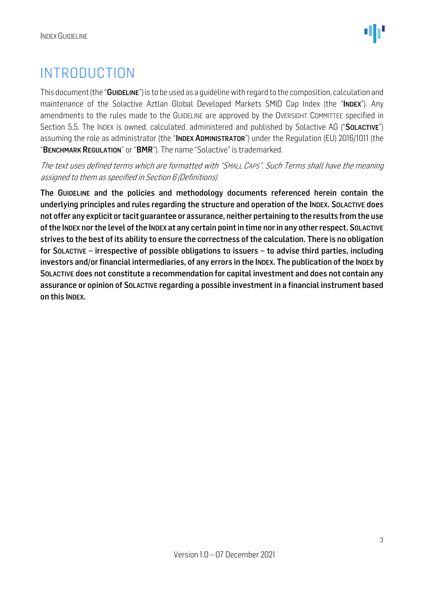### <span id="page-2-0"></span>INTRODUCTION

This document (the "GUIDELINE") is to be used as a quideline with regard to the composition, calculation and maintenance of the Solactive Aztlan Global Developed Markets SMID Cap Index (the "INDEX"). Any amendments to the rules made to the GUIDELINE are approved by the OVERSIGHT COMMITTEE specified in Section 5.5. The INDEX is owned, calculated, administered and published by Solactive AG ("SOLACTIVE") assuming the role as administrator (the "INDEX ADMINISTRATOR") under the Regulation (EU) 2016/1011 (the "BENCHMARK REGULATION" or "BMR"). The name "Solactive" is trademarked.

The text uses defined terms which are formatted with "SMALL CAPS". Such Terms shall have the meaning assigned to them as specified in Section 6 (Definitions).

The GUIDELINE and the policies and methodology documents referenced herein contain the underlying principles and rules regarding the structure and operation of the INDEX. SOLACTIVE does not offer any explicit or tacit guarantee or assurance, neither pertaining to the results from the use of the INDEX nor the level of the INDEX at any certain point in time nor in any other respect. SOLACTIVE strives to the best of its ability to ensure the correctness of the calculation. There is no obligation for SOLACTIVE – irrespective of possible obligations to issuers – to advise third parties, including investors and/or financial intermediaries, of any errors in the INDEX. The publication of the INDEX by SOLACTIVE does not constitute a recommendation for capital investment and does not contain any assurance or opinion of SOLACTIVE regarding a possible investment in a financial instrument based on this INDEX.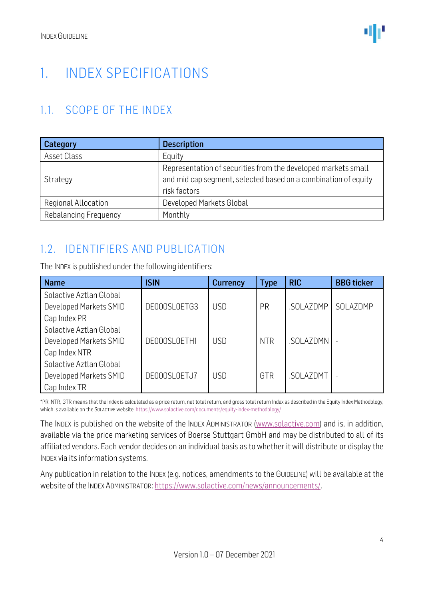# <span id="page-3-0"></span>1. INDEX SPECIFICATIONS

### <span id="page-3-1"></span>1.1. SCOPE OF THE INDEX

| Category              | <b>Description</b>                                                                                                                              |
|-----------------------|-------------------------------------------------------------------------------------------------------------------------------------------------|
| Asset Class           | Equity                                                                                                                                          |
| Strategy              | Representation of securities from the developed markets small<br>and mid cap segment, selected based on a combination of equity<br>risk factors |
| Regional Allocation   | Developed Markets Global                                                                                                                        |
| Rebalancing Frequency | Monthly                                                                                                                                         |

### <span id="page-3-2"></span>1.2. IDENTIFIERS AND PUBLICATION

The INDEX is published under the following identifiers:

| <b>Name</b>             | <b>ISIN</b>  | <b>Currency</b> | <b>Type</b> | <b>RIC</b> | <b>BBG</b> ticker |
|-------------------------|--------------|-----------------|-------------|------------|-------------------|
| Solactive Aztlan Global |              |                 |             |            |                   |
| Developed Markets SMID  | DE000SL0ETG3 | <b>USD</b>      | PR          | .SOLAZDMP  | SOLAZDMP          |
| Cap Index PR            |              |                 |             |            |                   |
| Solactive Aztlan Global |              |                 |             |            |                   |
| Developed Markets SMID  | DE000SL0ETH1 | <b>USD</b>      | <b>NTR</b>  | .SOLAZDMN  |                   |
| Cap Index NTR           |              |                 |             |            |                   |
| Solactive Aztlan Global |              |                 |             |            |                   |
| Developed Markets SMID  | DE000SL0ETJ7 | <b>USD</b>      | GTR         | .SOLAZDMT  |                   |
| Cap Index TR            |              |                 |             |            |                   |

\*PR, NTR, GTR means that the Index is calculated as a price return, net total return, and gross total return Index as described in the Equity Index Methodology, which is available on the SOLACTIVE website[: https://www.solactive.com/documents/equity-index-methodology/](https://www.solactive.com/documents/equity-index-methodology/)

The INDEX is published on the website of the INDEX ADMINISTRATOR [\(www.solactive.com\)](http://www.solactive.com/) and is, in addition, available via the price marketing services of Boerse Stuttgart GmbH and may be distributed to all of its affiliated vendors. Each vendor decides on an individual basis as to whether it will distribute or display the INDEX via its information systems.

Any publication in relation to the INDEX (e.g. notices, amendments to the GUIDELINE) will be available at the website of the INDEX ADMINISTRATOR: [https://www.solactive.com/news/announcements/.](https://www.solactive.com/news/announcements/)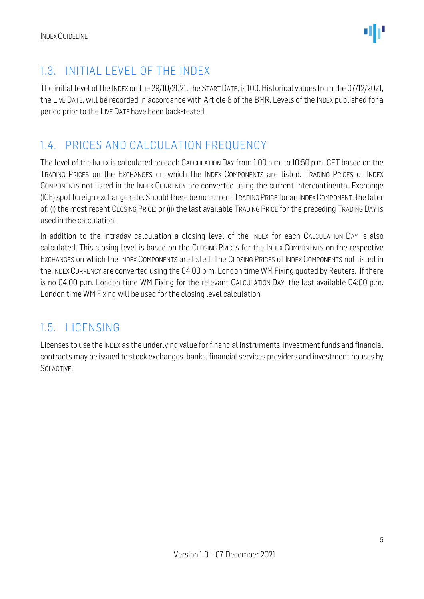

### <span id="page-4-0"></span>1.3. INITIAL LEVEL OF THE INDEX

The initial level of the INDEX on the 29/10/2021, the START DATE, is 100. Historical values from the 07/12/2021, the LIVE DATE, will be recorded in accordance with Article 8 of the BMR. Levels of the INDEX published for a period prior to the LIVE DATE have been back-tested.

### <span id="page-4-1"></span>1.4. PRICES AND CALCULATION FREQUENCY

The level of the INDEX is calculated on each CALCULATION DAY from 1:00 a.m. to 10:50 p.m. CET based on the TRADING PRICES on the EXCHANGES on which the INDEX COMPONENTS are listed. TRADING PRICES of INDEX COMPONENTS not listed in the INDEX CURRENCY are converted using the current Intercontinental Exchange (ICE) spot foreign exchange rate. Should there be no current TRADING PRICE for an INDEXCOMPONENT, the later of: (i) the most recent CLOSING PRICE; or (ii) the last available TRADING PRICE for the preceding TRADING DAY is used in the calculation.

In addition to the intraday calculation a closing level of the INDEX for each CALCULATION DAY is also calculated. This closing level is based on the CLOSING PRICES for the INDEX COMPONENTS on the respective EXCHANGES on which the INDEX COMPONENTS are listed. The CLOSING PRICES of INDEX COMPONENTS not listed in the INDEX CURRENCY are converted using the 04:00 p.m. London time WM Fixing quoted by Reuters. If there is no 04:00 p.m. London time WM Fixing for the relevant CALCULATION DAY, the last available 04:00 p.m. London time WM Fixing will be used for the closing level calculation.

### <span id="page-4-2"></span>1.5. LICENSING

Licenses to use the INDEX as the underlying value for financial instruments, investment funds and financial contracts may be issued to stock exchanges, banks, financial services providers and investment houses by SOLACTIVE.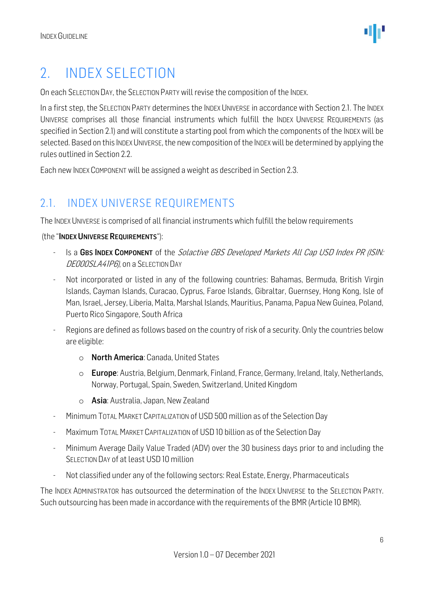### <span id="page-5-0"></span>2. INDEX SELECTION

On each SELECTION DAY, the SELECTION PARTY will revise the composition of the INDEX.

In a first step, the SELECTION PARTY determines the INDEX UNIVERSE in accordance with Section 2.1. The INDEX UNIVERSE comprises all those financial instruments which fulfill the INDEX UNIVERSE REQUIREMENTS (as specified in Section 2.1) and will constitute a starting pool from which the components of the INDEX will be selected. Based on this INDEX UNIVERSE, the new composition of the INDEX will be determined by applying the rules outlined in Section 2.2.

Each new INDEX COMPONENT will be assigned a weight as described in Section 2.3.

### <span id="page-5-1"></span>2.1. INDEX UNIVERSE REQUIREMENTS

The INDEX UNIVERSE is comprised of all financial instruments which fulfill the below requirements

#### (the "INDEX UNIVERSE REQUIREMENTS"):

- Is a GBS INDEX COMPONENT of the Solactive GBS Developed Markets All Cap USD Index PR (ISIN: DE000SLA41P6), on a SELECTION DAY
- Not incorporated or listed in any of the following countries: Bahamas, Bermuda, British Virgin Islands, Cayman Islands, Curacao, Cyprus, Faroe Islands, Gibraltar, Guernsey, Hong Kong, Isle of Man, Israel, Jersey, Liberia, Malta, Marshal Islands, Mauritius, Panama, Papua New Guinea, Poland, Puerto Rico Singapore, South Africa
- Regions are defined as follows based on the country of risk of a security. Only the countries below are eligible:
	- o North America: Canada, United States
	- o Europe: Austria, Belgium, Denmark, Finland, France, Germany, Ireland, Italy, Netherlands, Norway, Portugal, Spain, Sweden, Switzerland, United Kingdom
	- o Asia: Australia, Japan, New Zealand
- Minimum TOTAL MARKET CAPITALIZATION of USD 500 million as of the Selection Day
- Maximum TOTAL MARKET CAPITALIZATION of USD 10 billion as of the Selection Day
- Minimum Average Daily Value Traded (ADV) over the 30 business days prior to and including the SELECTION DAY of at least USD 10 million
- Not classified under any of the following sectors: Real Estate, Energy, Pharmaceuticals

The INDEX ADMINISTRATOR has outsourced the determination of the INDEX UNIVERSE to the SELECTION PARTY. Such outsourcing has been made in accordance with the requirements of the BMR (Article 10 BMR).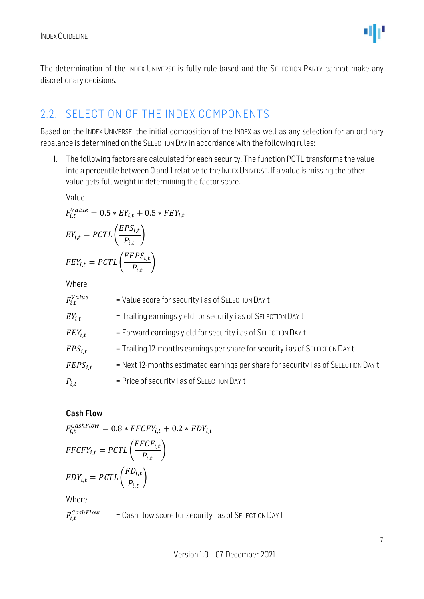The determination of the INDEX UNIVERSE is fully rule-based and the SELECTION PARTY cannot make any discretionary decisions.

### <span id="page-6-0"></span>2.2. SELECTION OF THE INDEX COMPONENTS

Based on the INDEX UNIVERSE, the initial composition of the INDEX as well as any selection for an ordinary rebalance is determined on the SELECTION DAY in accordance with the following rules:

1. The following factors are calculated for each security. The function PCTL transforms the value into a percentile between 0 and 1 relative to the INDEX UNIVERSE. If a value is missing the other value gets full weight in determining the factor score.

Value

$$
F_{i,t}^{Value} = 0.5 * EY_{i,t} + 0.5 * F EY_{i,t}
$$

$$
EY_{i,t} = PCTL\left(\frac{EPS_{i,t}}{P_{i,t}}\right)
$$

$$
F EY_{i,t} = PCTL\left(\frac{EPS_{i,t}}{P_{i,t}}\right)
$$

Where:

| $F_{i.t}^{Value}$ | = Value score for security i as of SELECTION DAY t                                 |
|-------------------|------------------------------------------------------------------------------------|
| $EY_{i,t}$        | = Trailing earnings yield for security i as of SELECTION DAY t                     |
| $FEY_{i.t}$       | = Forward earnings yield for security i as of SELECTION DAY t                      |
| $EPS_{i,t}$       | = Trailing 12-months earnings per share for security i as of SELECTION DAY t       |
| $FEPS_{i.t.}$     | = Next 12-months estimated earnings per share for security i as of SELECTION DAY t |
| $P_{i,t}$         | $=$ Price of security i as of SELECTION DAY t                                      |

#### Cash Flow

 $F_{i,t}^{CashFlow} = 0.8 * FFCFY_{i,t} + 0.2 * FDY_{i,t}$  $FFCFY_{i,t} = PCTL$  $\mathit{FFCF}_{i,t}$  $P_{i,t}$ )

$$
FDY_{i,t} = PCTL\left(\frac{FD_{i,t}}{P_{i,t}}\right)
$$

Where:

 $F_{i,t}^{CashFlow}$ = Cash flow score for security i as of SELECTION DAY t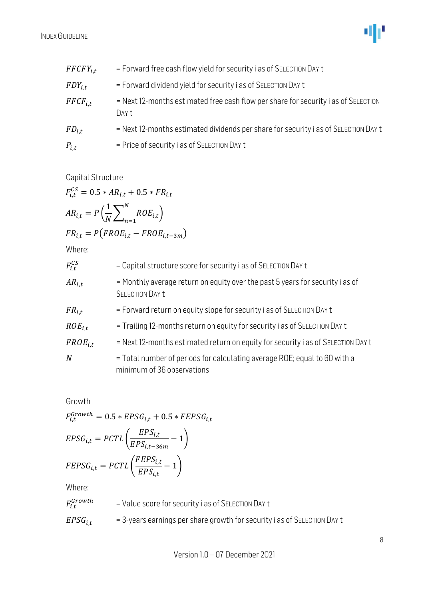| $FFCFY_{i.t}$ | $=$ Forward free cash flow yield for security i as of SELECTION DAY t                       |
|---------------|---------------------------------------------------------------------------------------------|
| $FDY_{i.t.}$  | = Forward dividend yield for security i as of SELECTION DAY t                               |
| $FFCF_{i.t.}$ | = Next 12-months estimated free cash flow per share for security i as of SELECTION<br>Day t |
| $FD_{i.t}$    | = Next 12-months estimated dividends per share for security i as of SELECTION DAY t         |
| $P_{i,t}$     | = Price of security i as of SELECTION DAY t                                                 |

Capital Structure

$$
F_{i,t}^{CS} = 0.5 * AR_{i,t} + 0.5 * FR_{i,t}
$$

$$
AR_{i,t} = P\left(\frac{1}{N}\sum_{n=1}^{N} ROE_{i,t}\right)
$$

$$
FR_{i,t} = P\left(FROE_{i,t} - FROE_{i,t-3m}\right)
$$

Where:

| $F_{i,t}^{CS}$   | = Capital structure score for security i as of SELECTION DAY t                                          |
|------------------|---------------------------------------------------------------------------------------------------------|
| $AR_{i.t}$       | = Monthly average return on equity over the past 5 years for security i as of<br>SELECTION DAY t        |
| $FR_{i,t}$       | = Forward return on equity slope for security i as of SELECTION DAY t                                   |
| $ROE_{i.t}$      | = Trailing 12-months return on equity for security i as of SELECTION DAY t                              |
| $FROE_{i.t}$     | = Next 12-months estimated return on equity for security i as of SELECTION DAY t                        |
| $\boldsymbol{N}$ | = Total number of periods for calculating average ROE; equal to 60 with a<br>minimum of 36 observations |

Growth

$$
F_{i,t}^{Growth} = 0.5 * EPSG_{i,t} + 0.5 * FEPSG_{i,t}
$$

$$
EPSG_{i,t} = PCTL\left(\frac{EPS_{i,t}}{EPS_{i,t-36m}} - 1\right)
$$

$$
FEPSG_{i,t} = PCTL\left(\frac{EPS_{i,t}}{EPS_{i,t}} - 1\right)
$$

Where:

- $F_{i,t}^{Growth}$ = Value score for security i as of SELECTION DAY t
- $EPSG_{i,t}$  = 3-years earnings per share growth for security i as of SELECTION DAY t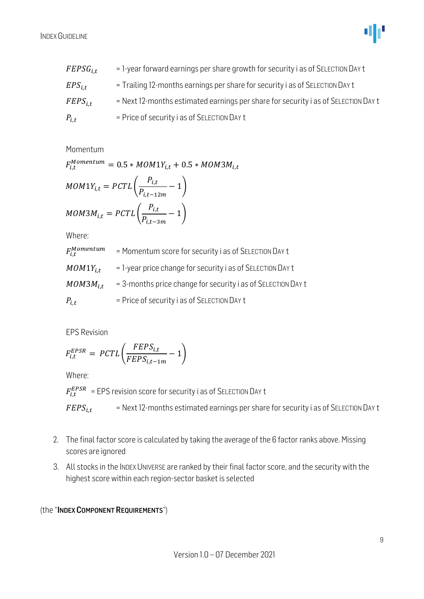

| $FEPSG_{i.t.}$ | $=$ 1-year forward earnings per share growth for security i as of SELECTION DAY t  |
|----------------|------------------------------------------------------------------------------------|
| $EPS_{i.t.}$   | = Trailing 12-months earnings per share for security i as of SELECTION DAY t       |
| $FEPS_{i.t.}$  | = Next 12-months estimated earnings per share for security i as of SELECTION DAY t |
| $P_{i,t}$      | $=$ Price of security i as of SELECTION DAY t                                      |

Momentum

$$
F_{i,t}^{Momentum} = 0.5 * MOM1Y_{i,t} + 0.5 * MOM3M_{i,t}
$$
  
\n
$$
MOM1Y_{i,t} = PCTL\left(\frac{P_{i,t}}{P_{i,t-12m}} - 1\right)
$$
  
\n
$$
MOM3M_{i,t} = PCTL\left(\frac{P_{i,t}}{P_{i,t-3m}} - 1\right)
$$
  
\nWhere

Where:

| $F_{i,t}^{Momentum}$ | = Momentum score for security i as of SELECTION DAY t        |
|----------------------|--------------------------------------------------------------|
| $MOM1Y_{i,t}$        | $=$ 1-year price change for security i as of SELECTION DAY t |
| $MOM3M_{i,t}$        | = 3-months price change for security i as of SELECTION DAY t |
| $P_{i,t}$            | $=$ Price of security i as of SELECTION DAY t                |

EPS Revision

$$
F_{i,t}^{EPSR} = \text{PCTL}\left(\frac{FEPS_{i,t}}{FEPS_{i,t-1m}} - 1\right)
$$

Where:

 $F_{i,t}^{EPSR}$  = EPS revision score for security i as of SELECTION DAY t

 $FEPS_{i.t}$  = Next 12-months estimated earnings per share for security i as of SELECTION DAY t

- 2. The final factor score is calculated by taking the average of the 6 factor ranks above. Missing scores are ignored
- 3. All stocks in the INDEX UNIVERSE are ranked by their final factor score, and the security with the highest score within each region-sector basket is selected

#### (the "INDEX COMPONENT REQUIREMENTS")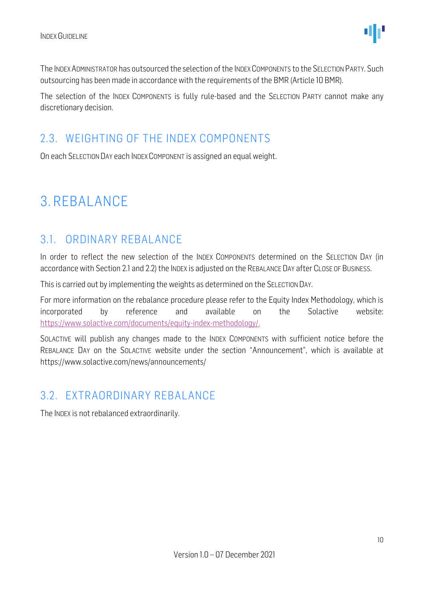

The INDEX ADMINISTRATOR has outsourced the selection of the INDEXCOMPONENTS to the SELECTION PARTY. Such outsourcing has been made in accordance with the requirements of the BMR (Article 10 BMR).

The selection of the INDEX COMPONENTS is fully rule-based and the SELECTION PARTY cannot make any discretionary decision.

### <span id="page-9-0"></span>2.3. WEIGHTING OF THE INDEX COMPONENTS

On each SELECTION DAY each INDEX COMPONENT is assigned an equal weight.

### <span id="page-9-1"></span>3. REBALANCE

### <span id="page-9-2"></span>3.1. ORDINARY REBALANCE

In order to reflect the new selection of the INDEX COMPONENTS determined on the SELECTION DAY (in accordance with Section 2.1 and 2.2) the INDEX is adjusted on the REBALANCE DAY after CLOSE OF BUSINESS.

This is carried out by implementing the weights as determined on the SELECTION DAY.

For more information on the rebalance procedure please refer to the Equity Index Methodology, which is incorporated by reference and available on the Solactive website: [https://www.solactive.com/documents/equity-index-methodology/.](https://www.solactive.com/documents/equity-index-methodology/)

SOLACTIVE will publish any changes made to the INDEX COMPONENTS with sufficient notice before the REBALANCE DAY on the SOLACTIVE website under the section "Announcement", which is available at https://www.solactive.com/news/announcements/

### <span id="page-9-3"></span>3.2. EXTRAORDINARY REBALANCE

The INDEX is not rebalanced extraordinarily.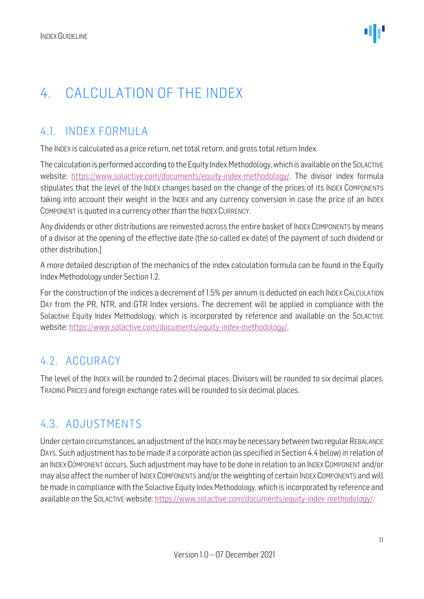### <span id="page-10-0"></span>4. CALCULATION OF THE INDEX

### <span id="page-10-1"></span>4.1. INDEX FORMULA

The INDEX is calculated as a price return, net total return, and gross total return Index.

The calculation is performed according to the Equity Index Methodology, which is available on the SOLACTIVE website: [https://www.solactive.com/documents/equity-index-methodology/.](https://www.solactive.com/documents/equity-index-methodology/) The divisor index formula stipulates that the level of the INDEX changes based on the change of the prices of its INDEX COMPONENTS taking into account their weight in the INDEX and any currency conversion in case the price of an INDEX COMPONENT is quoted in a currency other than the INDEX CURRENCY.

Any dividends or other distributions are reinvested across the entire basket of INDEX COMPONENTS by means of a divisor at the opening of the effective date (the so-called ex-date) of the payment of such dividend or other distribution.]

A more detailed description of the mechanics of the index calculation formula can be found in the Equity Index Methodology under Section 1.2.

For the construction of the indices a decrement of 1.5% per annum is deducted on each INDEX CALCULATION DAY from the PR, NTR, and GTR Index versions. The decrement will be applied in compliance with the Solactive Equity Index Methodology, which is incorporated by reference and available on the SOLACTIVE website: [https://www.solactive.com/documents/equity-index-methodology/.](https://www.solactive.com/documents/equity-index-methodology/)

### <span id="page-10-2"></span>4.2. ACCURACY

The level of the INDEX will be rounded to 2 decimal places. Divisors will be rounded to six decimal places. TRADING PRICES and foreign exchange rates will be rounded to six decimal places.

### <span id="page-10-3"></span>4.3. ADJUSTMENTS

Under certain circumstances, an adjustment of the INDEX may be necessary between two regular REBALANCE DAYS. Such adjustment has to be made if a corporate action (as specified in Section 4.4 below) in relation of an INDEX COMPONENT occurs. Such adjustment may have to be done in relation to an INDEX COMPONENT and/or may also affect the number of INDEX COMPONENTS and/or the weighting of certain INDEX COMPONENTS and will be made in compliance with the Solactive Equity Index Methodology, which is incorporated by reference and available on the SOLACTIVE website: [https://www.solactive.com/documents/equity-index-methodology/.](https://www.solactive.com/documents/equity-index-methodology/)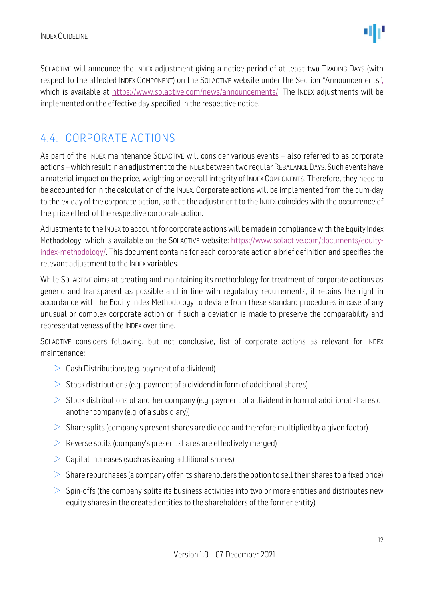SOLACTIVE will announce the INDEX adjustment giving a notice period of at least two TRADING DAYS (with respect to the affected INDEX COMPONENT) on the SOLACTIVE website under the Section "Announcements", which is available at https://www.solactive.com/news/announcements/. The INDEX adjustments will be implemented on the effective day specified in the respective notice.

### <span id="page-11-0"></span>4.4. CORPORATE ACTIONS

As part of the INDEX maintenance SOLACTIVE will consider various events – also referred to as corporate actions –which result in an adjustment to the INDEX between two regular REBALANCE DAYS. Such events have a material impact on the price, weighting or overall integrity of INDEX COMPONENTS. Therefore, they need to be accounted for in the calculation of the INDEX. Corporate actions will be implemented from the cum-day to the ex-day of the corporate action, so that the adjustment to the INDEX coincides with the occurrence of the price effect of the respective corporate action.

Adjustments to the INDEX to account for corporate actions will be made in compliance with the Equity Index Methodology, which is available on the SOLACTIVE website: [https://www.solactive.com/documents/equity](https://www.solactive.com/documents/equity-index-methodology/)[index-methodology/.](https://www.solactive.com/documents/equity-index-methodology/) This document contains for each corporate action a brief definition and specifies the relevant adjustment to the INDEX variables.

While SOLACTIVE aims at creating and maintaining its methodology for treatment of corporate actions as generic and transparent as possible and in line with regulatory requirements, it retains the right in accordance with the Equity Index Methodology to deviate from these standard procedures in case of any unusual or complex corporate action or if such a deviation is made to preserve the comparability and representativeness of the INDEX over time.

SOLACTIVE considers following, but not conclusive, list of corporate actions as relevant for INDEX maintenance:

- $\geq$  Cash Distributions (e.g. payment of a dividend)
- $>$  Stock distributions (e.g. payment of a dividend in form of additional shares)
- $>$  Stock distributions of another company (e.g. payment of a dividend in form of additional shares of another company (e.g. of a subsidiary))
- $>$  Share splits (company's present shares are divided and therefore multiplied by a given factor)
- $\geq$  Reverse splits (company's present shares are effectively merged)
- $\geq$  Capital increases (such as issuing additional shares)
- $>$  Share repurchases (a company offer its shareholders the option to sell their shares to a fixed price)
- $>$  Spin-offs (the company splits its business activities into two or more entities and distributes new equity shares in the created entities to the shareholders of the former entity)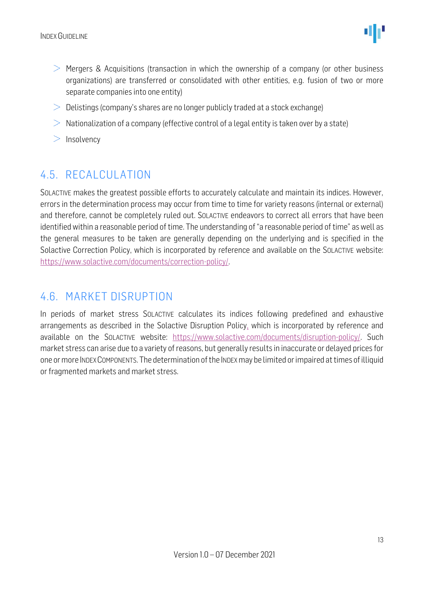

- $>$  Mergers & Acquisitions (transaction in which the ownership of a company (or other business organizations) are transferred or consolidated with other entities, e.g. fusion of two or more separate companies into one entity)
- $>$  Delistings (company's shares are no longer publicly traded at a stock exchange)
- $>$  Nationalization of a company (effective control of a legal entity is taken over by a state)
- $>$  Insolvency

#### <span id="page-12-0"></span>4.5. RECALCULATION

SOLACTIVE makes the greatest possible efforts to accurately calculate and maintain its indices. However, errors in the determination process may occur from time to time for variety reasons (internal or external) and therefore, cannot be completely ruled out. SOLACTIVE endeavors to correct all errors that have been identified within a reasonable period of time. The understanding of "a reasonable period of time" as well as the general measures to be taken are generally depending on the underlying and is specified in the Solactive Correction Policy, which is incorporated by reference and available on the SOLACTIVE website: [https://www.solactive.com/documents/correction-policy/.](https://www.solactive.com/documents/correction-policy/)

#### <span id="page-12-1"></span>4.6. MARKET DISRUPTION

In periods of market stress SOLACTIVE calculates its indices following predefined and exhaustive arrangements as described in the Solactive Disruption Policy, which is incorporated by reference and available on the SOLACTIVE website: [https://www.solactive.com/documents/disruption-policy/.](https://www.solactive.com/documents/disruption-policy/) Such market stress can arise due to a variety of reasons, but generally results in inaccurate or delayed prices for one or more INDEXCOMPONENTS. The determination of the INDEXmay be limited or impaired at times of illiquid or fragmented markets and market stress.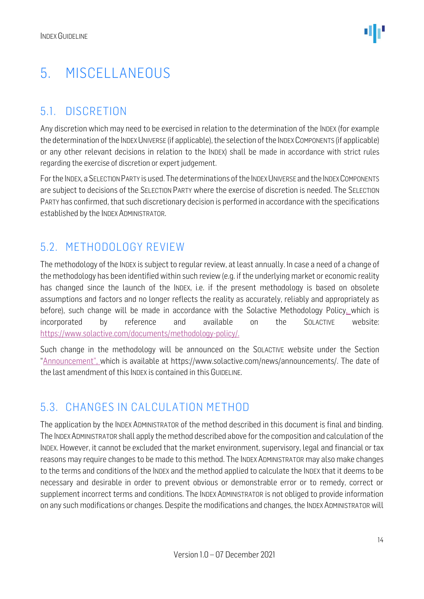# <span id="page-13-0"></span>5. MISCELLANEOUS

### <span id="page-13-1"></span>5.1. DISCRETION

Any discretion which may need to be exercised in relation to the determination of the INDEX (for example the determination of the INDEX UNIVERSE (if applicable), the selection of the INDEX COMPONENTS (if applicable) or any other relevant decisions in relation to the INDEX) shall be made in accordance with strict rules regarding the exercise of discretion or expert judgement.

For the INDEX, a SELECTION PARTY is used. The determinations of the INDEXUNIVERSE and the INDEXCOMPONENTS are subject to decisions of the SELECTION PARTY where the exercise of discretion is needed. The SELECTION PARTY has confirmed, that such discretionary decision is performed in accordance with the specifications established by the INDEX ADMINISTRATOR.

### <span id="page-13-2"></span>5.2. METHODOLOGY REVIEW

The methodology of the INDEX is subject to regular review, at least annually. In case a need of a change of the methodology has been identified within such review (e.g. if the underlying market or economic reality has changed since the launch of the INDEX, i.e. if the present methodology is based on obsolete assumptions and factors and no longer reflects the reality as accurately, reliably and appropriately as before), such change will be made in accordance with the Solactive Methodology Policy, which is incorporated by reference and available on the SOLACTIVE website: [https://www.solactive.com/documents/methodology-policy/.](https://www.solactive.com/documents/methodology-policy/)

Such change in the methodology will be announced on the SOLACTIVE website under the Section "Announcement", which is available at https://www.solactive.com/news/announcements/. The date of the last amendment of this INDEX is contained in this GUIDELINE.

### <span id="page-13-3"></span>5.3. CHANGES IN CALCULATION METHOD

The application by the INDEX ADMINISTRATOR of the method described in this document is final and binding. The INDEXADMINISTRATOR shall apply the method described above for the composition and calculation of the INDEX. However, it cannot be excluded that the market environment, supervisory, legal and financial or tax reasons may require changes to be made to this method. The INDEX ADMINISTRATOR may also make changes to the terms and conditions of the INDEX and the method applied to calculate the INDEX that it deems to be necessary and desirable in order to prevent obvious or demonstrable error or to remedy, correct or supplement incorrect terms and conditions. The INDEX ADMINISTRATOR is not obliged to provide information on any such modifications or changes. Despite the modifications and changes, the INDEX ADMINISTRATOR will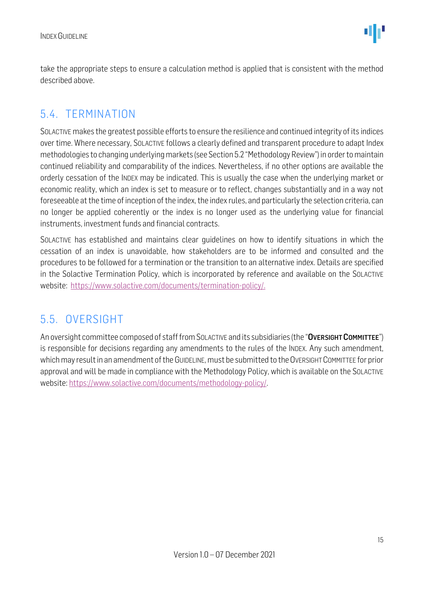take the appropriate steps to ensure a calculation method is applied that is consistent with the method described above.

#### <span id="page-14-0"></span>5.4. TERMINATION

SOLACTIVE makes the greatest possible efforts to ensure the resilience and continued integrity of its indices over time. Where necessary, SOLACTIVE follows a clearly defined and transparent procedure to adapt Index methodologies to changing underlying markets (see Section 5.2 "Methodology Review") in order to maintain continued reliability and comparability of the indices. Nevertheless, if no other options are available the orderly cessation of the INDEX may be indicated. This is usually the case when the underlying market or economic reality, which an index is set to measure or to reflect, changes substantially and in a way not foreseeable at the time of inception of the index, the index rules, and particularly the selection criteria, can no longer be applied coherently or the index is no longer used as the underlying value for financial instruments, investment funds and financial contracts.

SOLACTIVE has established and maintains clear guidelines on how to identify situations in which the cessation of an index is unavoidable, how stakeholders are to be informed and consulted and the procedures to be followed for a termination or the transition to an alternative index. Details are specified in the Solactive Termination Policy, which is incorporated by reference and available on the SOLACTIVE website: [https://www.solactive.com/documents/termination-policy/.](https://www.solactive.com/documents/termination-policy/)

### <span id="page-14-1"></span>5.5. OVERSIGHT

An oversight committee composed of staff from SOLACTIVE and its subsidiaries (the "OVERSIGHT COMMITTEE") is responsible for decisions regarding any amendments to the rules of the INDEX. Any such amendment, which may result in an amendment of the GUIDELINE, must be submitted to the OVERSIGHT COMMITTEE for prior approval and will be made in compliance with the [Methodology](http://methodology/) Policy, which is available on the SOLACTIVE website: [https://www.solactive.com/documents/methodology-policy/.](https://www.solactive.com/documents/methodology-policy/)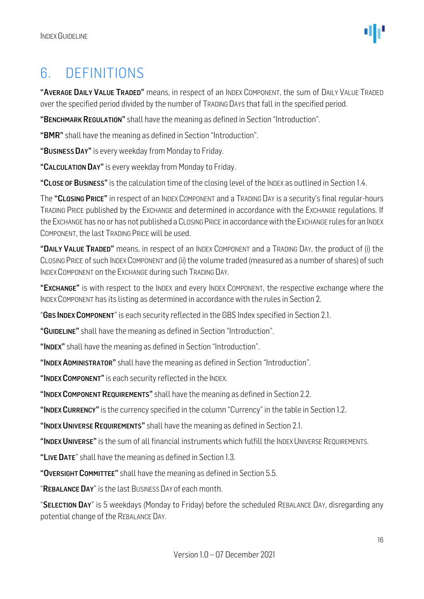### <span id="page-15-0"></span>6. DEFINITIONS

"AVERAGE DAILY VALUE TRADED" means, in respect of an INDEX COMPONENT, the sum of DAILY VALUE TRADED over the specified period divided by the number of TRADING DAYS that fall in the specified period.

"BENCHMARK REGULATION" shall have the meaning as defined in Section "Introduction".

"BMR" shall have the meaning as defined in Section "Introduction".

"BUSINESS DAY" is every weekday from Monday to Friday.

"CALCULATION DAY" is every weekday from Monday to Friday.

"CLOSE OF BUSINESS" is the calculation time of the closing level of the INDEX as outlined in Section 1.4.

The "CLOSING PRICE" in respect of an INDEX COMPONENT and a TRADING DAY is a security's final regular-hours TRADING PRICE published by the EXCHANGE and determined in accordance with the EXCHANGE regulations. If the EXCHANGE has no or has not published a CLOSING PRICE in accordance with the EXCHANGE rules for an INDEX COMPONENT, the last TRADING PRICE will be used.

"DAILY VALUE TRADED" means, in respect of an INDEX COMPONENT and a TRADING DAY, the product of (i) the CLOSING PRICE of such INDEX COMPONENT and (ii) the volume traded (measured as a number of shares) of such INDEX COMPONENT on the EXCHANGE during such TRADING DAY.

"EXCHANGE" is with respect to the INDEX and every INDEX COMPONENT, the respective exchange where the INDEX COMPONENT has its listing as determined in accordance with the rules in Section 2.

"GBS INDEX COMPONENT" is each security reflected in the GBS Index specified in Section 2.1.

"GUIDELINE" shall have the meaning as defined in Section "Introduction".

"INDEX" shall have the meaning as defined in Section "Introduction".

"INDEX ADMINISTRATOR" shall have the meaning as defined in Section "Introduction".

"INDEX COMPONENT" is each security reflected in the INDEX.

"INDEX COMPONENT REQUIREMENTS" shall have the meaning as defined in Section 2.2.

"INDEX CURRENCY" is the currency specified in the column "Currency" in the table in Section 1.2.

"INDEX UNIVERSE REQUIREMENTS" shall have the meaning as defined in Section 2.1.

"INDEX UNIVERSE" is the sum of all financial instruments which fulfill the INDEX UNIVERSE REQUIREMENTS.

"LIVE DATE" shall have the meaning as defined in Section 1.3.

"OVERSIGHT COMMITTEE" shall have the meaning as defined in Section 5.5.

"REBALANCE DAY" is the last BUSINESS DAY of each month.

"SELECTION DAY" is 5 weekdays (Monday to Friday) before the scheduled REBALANCE DAY, disregarding any potential change of the REBALANCE DAY.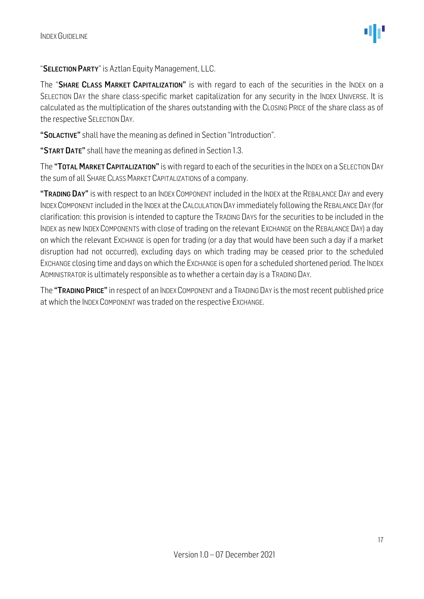

#### "SELECTION PARTY" is Aztlan Equity Management, LLC.

The "SHARE CLASS MARKET CAPITALIZATION" is with regard to each of the securities in the INDEX on a SELECTION DAY the share class-specific market capitalization for any security in the INDEX UNIVERSE. It is calculated as the multiplication of the shares outstanding with the CLOSING PRICE of the share class as of the respective SELECTION DAY.

"SOLACTIVE" shall have the meaning as defined in Section "Introduction".

"START DATE" shall have the meaning as defined in Section 1.3.

The "TOTAL MARKET CAPITALIZATION" is with regard to each of the securities in the INDEX on a SELECTION DAY the sum of all SHARE CLASS MARKET CAPITALIZATIONs of a company.

"TRADING DAY" is with respect to an INDEX COMPONENT included in the INDEX at the REBALANCE DAY and every INDEXCOMPONENT included in the INDEX at the CALCULATION DAY immediately following the REBALANCE DAY (for clarification: this provision is intended to capture the TRADING DAYS for the securities to be included in the INDEX as new INDEX COMPONENTS with close of trading on the relevant EXCHANGE on the REBALANCE DAY) a day on which the relevant EXCHANGE is open for trading (or a day that would have been such a day if a market disruption had not occurred), excluding days on which trading may be ceased prior to the scheduled EXCHANGE closing time and days on which the EXCHANGE is open for a scheduled shortened period. The INDEX ADMINISTRATOR is ultimately responsible as to whether a certain day is a TRADING DAY.

The "TRADING PRICE" in respect of an INDEX COMPONENT and a TRADING DAY is the most recent published price at which the INDEX COMPONENT was traded on the respective EXCHANGE.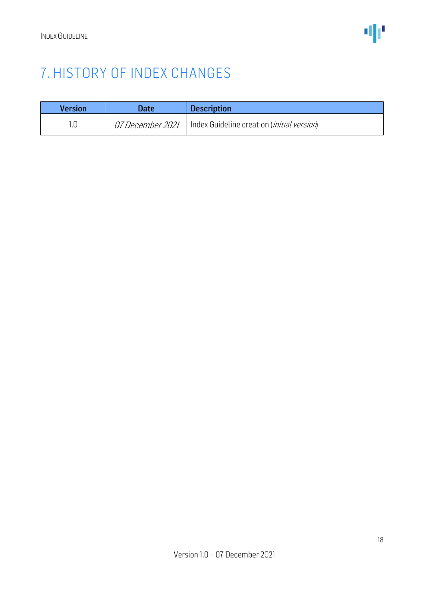# 7. HISTORY OF INDEX CHANGES

| <b>Version</b> | Date                    | <b>Description</b>                                  |
|----------------|-------------------------|-----------------------------------------------------|
|                | <i>07 December 2021</i> | Index Guideline creation ( <i>initial version</i> ) |